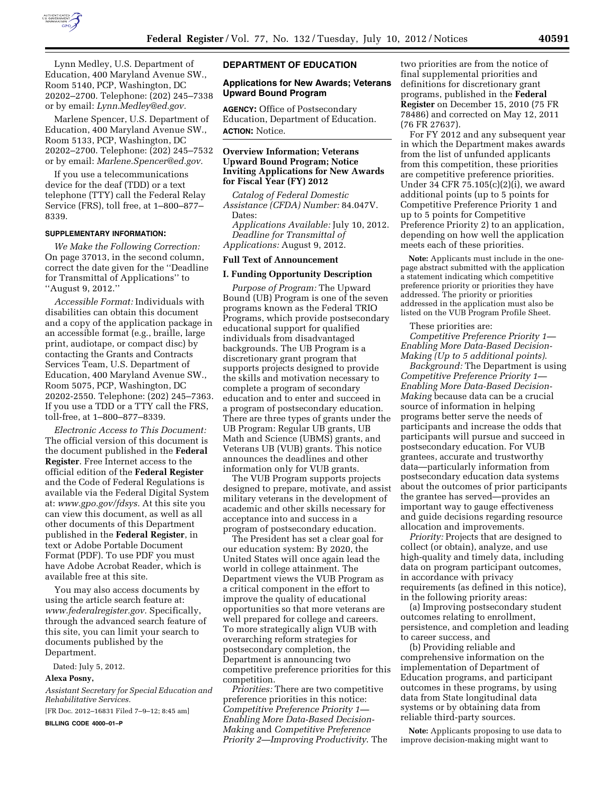

Lynn Medley, U.S. Department of Education, 400 Maryland Avenue SW., Room 5140, PCP, Washington, DC 20202–2700. Telephone: (202) 245–7338 or by email: *[Lynn.Medley@ed.gov.](mailto:Lynn.Medley@ed.gov)* 

Marlene Spencer, U.S. Department of Education, 400 Maryland Avenue SW., Room 5133, PCP, Washington, DC 20202–2700. Telephone: (202) 245–7532 or by email: *[Marlene.Spencer@ed.gov.](mailto:Marlene.Spencer@ed.gov)* 

If you use a telecommunications device for the deaf (TDD) or a text telephone (TTY) call the Federal Relay Service (FRS), toll free, at 1–800–877– 8339.

### **SUPPLEMENTARY INFORMATION:**

*We Make the Following Correction:*  On page 37013, in the second column, correct the date given for the ''Deadline for Transmittal of Applications'' to ''August 9, 2012.''

*Accessible Format:* Individuals with disabilities can obtain this document and a copy of the application package in an accessible format (e.g., braille, large print, audiotape, or compact disc) by contacting the Grants and Contracts Services Team, U.S. Department of Education, 400 Maryland Avenue SW., Room 5075, PCP, Washington, DC 20202-2550. Telephone: (202) 245–7363. If you use a TDD or a TTY call the FRS, toll-free, at 1–800–877–8339.

*Electronic Access to This Document:*  The official version of this document is the document published in the **Federal Register**. Free Internet access to the official edition of the **Federal Register**  and the Code of Federal Regulations is available via the Federal Digital System at: *[www.gpo.gov/fdsys.](http://www.gpo.gov/fdsys)* At this site you can view this document, as well as all other documents of this Department published in the **Federal Register**, in text or Adobe Portable Document Format (PDF). To use PDF you must have Adobe Acrobat Reader, which is available free at this site.

You may also access documents by using the article search feature at: *[www.federalregister.gov.](http://www.federalregister.gov)* Specifically, through the advanced search feature of this site, you can limit your search to documents published by the Department.

Dated: July 5, 2012.

## **Alexa Posny,**

*Assistant Secretary for Special Education and Rehabilitative Services.* 

[FR Doc. 2012–16831 Filed 7–9–12; 8:45 am] **BILLING CODE 4000–01–P** 

#### **DEPARTMENT OF EDUCATION**

## **Applications for New Awards; Veterans Upward Bound Program**

**AGENCY:** Office of Postsecondary Education, Department of Education. **ACTION:** Notice.

# **Overview Information; Veterans Upward Bound Program; Notice Inviting Applications for New Awards for Fiscal Year (FY) 2012**

*Catalog of Federal Domestic Assistance (CFDA) Number:* 84.047V. Dates: *Applications Available:* July 10, 2012.

*Deadline for Transmittal of Applications:* August 9, 2012.

## **Full Text of Announcement**

#### **I. Funding Opportunity Description**

*Purpose of Program:* The Upward Bound (UB) Program is one of the seven programs known as the Federal TRIO Programs, which provide postsecondary educational support for qualified individuals from disadvantaged backgrounds. The UB Program is a discretionary grant program that supports projects designed to provide the skills and motivation necessary to complete a program of secondary education and to enter and succeed in a program of postsecondary education. There are three types of grants under the UB Program: Regular UB grants, UB Math and Science (UBMS) grants, and Veterans UB (VUB) grants. This notice announces the deadlines and other information only for VUB grants.

The VUB Program supports projects designed to prepare, motivate, and assist military veterans in the development of academic and other skills necessary for acceptance into and success in a program of postsecondary education.

The President has set a clear goal for our education system: By 2020, the United States will once again lead the world in college attainment. The Department views the VUB Program as a critical component in the effort to improve the quality of educational opportunities so that more veterans are well prepared for college and careers. To more strategically align VUB with overarching reform strategies for postsecondary completion, the Department is announcing two competitive preference priorities for this competition.

*Priorities:* There are two competitive preference priorities in this notice: *Competitive Preference Priority 1— Enabling More Data-Based Decision-Making* and *Competitive Preference Priority 2—Improving Productivity*. The

two priorities are from the notice of final supplemental priorities and definitions for discretionary grant programs, published in the **Federal Register** on December 15, 2010 (75 FR 78486) and corrected on May 12, 2011 (76 FR 27637).

For FY 2012 and any subsequent year in which the Department makes awards from the list of unfunded applicants from this competition, these priorities are competitive preference priorities. Under 34 CFR 75.105(c)(2)(i), we award additional points (up to 5 points for Competitive Preference Priority 1 and up to 5 points for Competitive Preference Priority 2) to an application, depending on how well the application meets each of these priorities.

**Note:** Applicants must include in the onepage abstract submitted with the application a statement indicating which competitive preference priority or priorities they have addressed. The priority or priorities addressed in the application must also be listed on the VUB Program Profile Sheet.

#### These priorities are:

*Competitive Preference Priority 1— Enabling More Data-Based Decision-Making (Up to 5 additional points)*.

*Background:* The Department is using *Competitive Preference Priority 1— Enabling More Data-Based Decision-Making* because data can be a crucial source of information in helping programs better serve the needs of participants and increase the odds that participants will pursue and succeed in postsecondary education. For VUB grantees, accurate and trustworthy data—particularly information from postsecondary education data systems about the outcomes of prior participants the grantee has served—provides an important way to gauge effectiveness and guide decisions regarding resource allocation and improvements.

*Priority:* Projects that are designed to collect (or obtain), analyze, and use high-quality and timely data, including data on program participant outcomes, in accordance with privacy requirements (as defined in this notice), in the following priority areas:

(a) Improving postsecondary student outcomes relating to enrollment, persistence, and completion and leading to career success, and

(b) Providing reliable and comprehensive information on the implementation of Department of Education programs, and participant outcomes in these programs, by using data from State longitudinal data systems or by obtaining data from reliable third-party sources.

**Note:** Applicants proposing to use data to improve decision-making might want to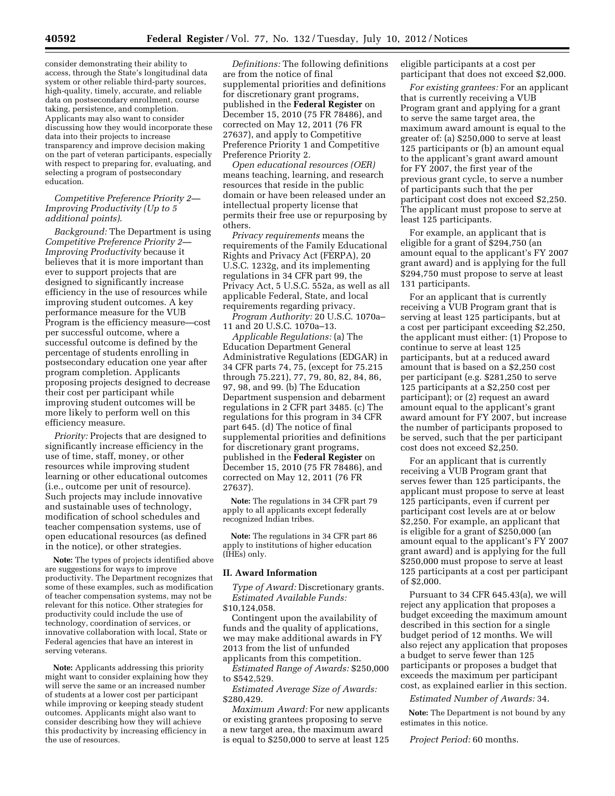consider demonstrating their ability to access, through the State's longitudinal data system or other reliable third-party sources, high-quality, timely, accurate, and reliable data on postsecondary enrollment, course taking, persistence, and completion. Applicants may also want to consider discussing how they would incorporate these data into their projects to increase transparency and improve decision making on the part of veteran participants, especially with respect to preparing for, evaluating, and selecting a program of postsecondary education.

## *Competitive Preference Priority 2— Improving Productivity (Up to 5 additional points)*.

*Background:* The Department is using *Competitive Preference Priority 2— Improving Productivity* because it believes that it is more important than ever to support projects that are designed to significantly increase efficiency in the use of resources while improving student outcomes. A key performance measure for the VUB Program is the efficiency measure—cost per successful outcome, where a successful outcome is defined by the percentage of students enrolling in postsecondary education one year after program completion. Applicants proposing projects designed to decrease their cost per participant while improving student outcomes will be more likely to perform well on this efficiency measure.

*Priority:* Projects that are designed to significantly increase efficiency in the use of time, staff, money, or other resources while improving student learning or other educational outcomes (i.e., outcome per unit of resource). Such projects may include innovative and sustainable uses of technology, modification of school schedules and teacher compensation systems, use of open educational resources (as defined in the notice), or other strategies.

**Note:** The types of projects identified above are suggestions for ways to improve productivity. The Department recognizes that some of these examples, such as modification of teacher compensation systems, may not be relevant for this notice. Other strategies for productivity could include the use of technology, coordination of services, or innovative collaboration with local, State or Federal agencies that have an interest in serving veterans.

**Note:** Applicants addressing this priority might want to consider explaining how they will serve the same or an increased number of students at a lower cost per participant while improving or keeping steady student outcomes. Applicants might also want to consider describing how they will achieve this productivity by increasing efficiency in the use of resources.

*Definitions:* The following definitions are from the notice of final supplemental priorities and definitions for discretionary grant programs, published in the **Federal Register** on December 15, 2010 (75 FR 78486), and corrected on May 12, 2011 (76 FR 27637), and apply to Competitive Preference Priority 1 and Competitive Preference Priority 2.

*Open educational resources (OER)*  means teaching, learning, and research resources that reside in the public domain or have been released under an intellectual property license that permits their free use or repurposing by others.

*Privacy requirements* means the requirements of the Family Educational Rights and Privacy Act (FERPA), 20 U.S.C. 1232g, and its implementing regulations in 34 CFR part 99, the Privacy Act, 5 U.S.C. 552a, as well as all applicable Federal, State, and local requirements regarding privacy.

*Program Authority:* 20 U.S.C. 1070a– 11 and 20 U.S.C. 1070a–13.

*Applicable Regulations:* (a) The Education Department General Administrative Regulations (EDGAR) in 34 CFR parts 74, 75, (except for 75.215 through 75.221), 77, 79, 80, 82, 84, 86, 97, 98, and 99. (b) The Education Department suspension and debarment regulations in 2 CFR part 3485. (c) The regulations for this program in 34 CFR part 645. (d) The notice of final supplemental priorities and definitions for discretionary grant programs, published in the **Federal Register** on December 15, 2010 (75 FR 78486), and corrected on May 12, 2011 (76 FR 27637).

**Note:** The regulations in 34 CFR part 79 apply to all applicants except federally recognized Indian tribes.

**Note:** The regulations in 34 CFR part 86 apply to institutions of higher education (IHEs) only.

### **II. Award Information**

*Type of Award:* Discretionary grants. *Estimated Available Funds:*  \$10,124,058.

Contingent upon the availability of funds and the quality of applications, we may make additional awards in FY 2013 from the list of unfunded applicants from this competition.

*Estimated Range of Awards:* \$250,000 to \$542,529.

*Estimated Average Size of Awards:*  \$280,429.

*Maximum Award:* For new applicants or existing grantees proposing to serve a new target area, the maximum award is equal to \$250,000 to serve at least 125

eligible participants at a cost per participant that does not exceed \$2,000.

*For existing grantees:* For an applicant that is currently receiving a VUB Program grant and applying for a grant to serve the same target area, the maximum award amount is equal to the greater of: (a) \$250,000 to serve at least 125 participants or (b) an amount equal to the applicant's grant award amount for FY 2007, the first year of the previous grant cycle, to serve a number of participants such that the per participant cost does not exceed \$2,250. The applicant must propose to serve at least 125 participants.

For example, an applicant that is eligible for a grant of \$294,750 (an amount equal to the applicant's FY 2007 grant award) and is applying for the full \$294,750 must propose to serve at least 131 participants.

For an applicant that is currently receiving a VUB Program grant that is serving at least 125 participants, but at a cost per participant exceeding \$2,250, the applicant must either: (1) Propose to continue to serve at least 125 participants, but at a reduced award amount that is based on a \$2,250 cost per participant (e.g. \$281,250 to serve 125 participants at a \$2,250 cost per participant); or (2) request an award amount equal to the applicant's grant award amount for FY 2007, but increase the number of participants proposed to be served, such that the per participant cost does not exceed \$2,250.

For an applicant that is currently receiving a VUB Program grant that serves fewer than 125 participants, the applicant must propose to serve at least 125 participants, even if current per participant cost levels are at or below \$2,250. For example, an applicant that is eligible for a grant of \$250,000 (an amount equal to the applicant's FY 2007 grant award) and is applying for the full \$250,000 must propose to serve at least 125 participants at a cost per participant of \$2,000.

Pursuant to 34 CFR 645.43(a), we will reject any application that proposes a budget exceeding the maximum amount described in this section for a single budget period of 12 months. We will also reject any application that proposes a budget to serve fewer than 125 participants or proposes a budget that exceeds the maximum per participant cost, as explained earlier in this section.

*Estimated Number of Awards:* 34.

**Note:** The Department is not bound by any estimates in this notice.

*Project Period:* 60 months.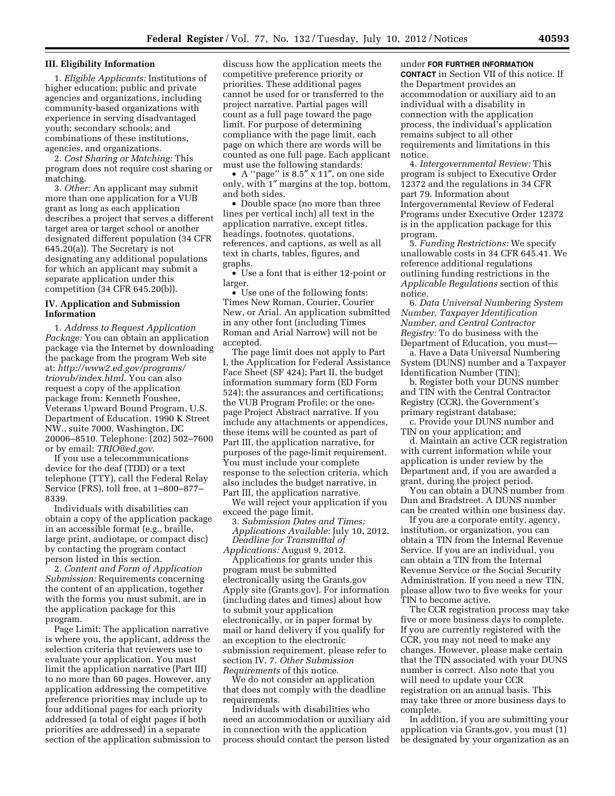## **III. Eligibility Information**

1. *Eligible Applicants:* Institutions of higher education; public and private agencies and organizations, including community-based organizations with experience in serving disadvantaged youth; secondary schools; and combinations of these institutions, agencies, and organizations.

2. *Cost Sharing or Matching:* This program does not require cost sharing or matching.

3. *Other:* An applicant may submit more than one application for a VUB grant as long as each application describes a project that serves a different target area or target school or another designated different population (34 CFR 645.20(a)). The Secretary is not designating any additional populations for which an applicant may submit a separate application under this competition (34 CFR 645.20(b)).

### **IV. Application and Submission Information**

1. *Address to Request Application Package:* You can obtain an application package via the Internet by downloading the package from the program Web site at: *[http://www2.ed.gov/programs/](http://www2.ed.gov/programs/triovub/index.html)  [triovub/index.html](http://www2.ed.gov/programs/triovub/index.html)*. You can also request a copy of the application package from: Kenneth Foushee, Veterans Upward Bound Program, U.S. Department of Education, 1990 K Street NW., suite 7000, Washington, DC 20006–8510. Telephone: (202) 502–7600 or by email: *[TRIO@ed.gov](mailto:TRIO@ed.gov)*.

If you use a telecommunications device for the deaf (TDD) or a text telephone (TTY), call the Federal Relay Service (FRS), toll free, at 1–800–877– 8339.

Individuals with disabilities can obtain a copy of the application package in an accessible format (e.g., braille, large print, audiotape, or compact disc) by contacting the program contact person listed in this section.

2. *Content and Form of Application Submission:* Requirements concerning the content of an application, together with the forms you must submit, are in the application package for this program.

Page Limit: The application narrative is where you, the applicant, address the selection criteria that reviewers use to evaluate your application. You must limit the application narrative (Part III) to no more than 60 pages. However, any application addressing the competitive preference priorities may include up to four additional pages for each priority addressed (a total of eight pages if both priorities are addressed) in a separate section of the application submission to discuss how the application meets the competitive preference priority or priorities. These additional pages cannot be used for or transferred to the project narrative. Partial pages will count as a full page toward the page limit. For purpose of determining compliance with the page limit, each page on which there are words will be counted as one full page. Each applicant must use the following standards:

• A ''page'' is 8.5″ x 11″, on one side only, with 1″ margins at the top, bottom, and both sides.

• Double space (no more than three lines per vertical inch) all text in the application narrative, except titles, headings, footnotes, quotations, references, and captions, as well as all text in charts, tables, figures, and graphs.

• Use a font that is either 12-point or larger.

• Use one of the following fonts: Times New Roman, Courier, Courier New, or Arial. An application submitted in any other font (including Times Roman and Arial Narrow) will not be accepted.

The page limit does not apply to Part I, the Application for Federal Assistance Face Sheet (SF 424); Part II, the budget information summary form (ED Form 524); the assurances and certifications; the VUB Program Profile; or the onepage Project Abstract narrative. If you include any attachments or appendices, these items will be counted as part of Part III, the application narrative, for purposes of the page-limit requirement. You must include your complete response to the selection criteria, which also includes the budget narrative, in Part III, the application narrative.

We will reject your application if you exceed the page limit.

3. *Submission Dates and Times: Applications Available:* July 10, 2012. *Deadline for Transmittal of Applications:* August 9, 2012.

Applications for grants under this program must be submitted electronically using the Grants.gov Apply site (Grants.gov). For information (including dates and times) about how to submit your application electronically, or in paper format by mail or hand delivery if you qualify for an exception to the electronic submission requirement, please refer to section IV. 7. *Other Submission Requirements* of this notice.

We do not consider an application that does not comply with the deadline requirements.

Individuals with disabilities who need an accommodation or auxiliary aid in connection with the application process should contact the person listed

## under **FOR FURTHER INFORMATION**

**CONTACT** in Section VII of this notice. If the Department provides an accommodation or auxiliary aid to an individual with a disability in connection with the application process, the individual's application remains subject to all other requirements and limitations in this notice.

4. *Intergovernmental Review:* This program is subject to Executive Order 12372 and the regulations in 34 CFR part 79. Information about Intergovernmental Review of Federal Programs under Executive Order 12372 is in the application package for this program.

5. *Funding Restrictions:* We specify unallowable costs in 34 CFR 645.41. We reference additional regulations outlining funding restrictions in the *Applicable Regulations* section of this notice.

6. *Data Universal Numbering System Number, Taxpayer Identification Number, and Central Contractor Registry:* To do business with the Department of Education, you must—

a. Have a Data Universal Numbering System (DUNS) number and a Taxpayer Identification Number (TIN);

b. Register both your DUNS number and TIN with the Central Contractor Registry (CCR), the Government's primary registrant database;

c. Provide your DUNS number and TIN on your application; and

d. Maintain an active CCR registration with current information while your application is under review by the Department and, if you are awarded a grant, during the project period.

You can obtain a DUNS number from Dun and Bradstreet. A DUNS number can be created within one business day.

If you are a corporate entity, agency, institution, or organization, you can obtain a TIN from the Internal Revenue Service. If you are an individual, you can obtain a TIN from the Internal Revenue Service or the Social Security Administration. If you need a new TIN, please allow two to five weeks for your TIN to become active.

The CCR registration process may take five or more business days to complete. If you are currently registered with the CCR, you may not need to make any changes. However, please make certain that the TIN associated with your DUNS number is correct. Also note that you will need to update your CCR registration on an annual basis. This may take three or more business days to complete.

In addition, if you are submitting your application via Grants.gov, you must (1) be designated by your organization as an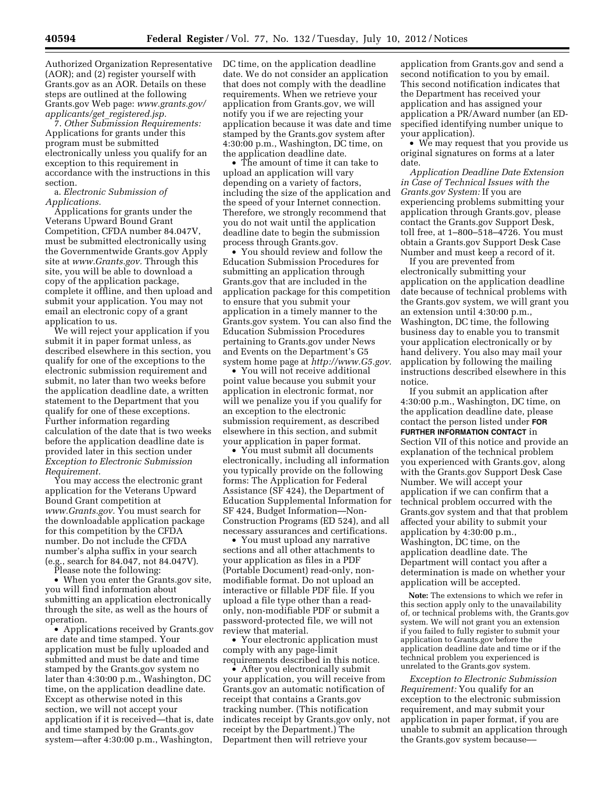Authorized Organization Representative (AOR); and (2) register yourself with Grants.gov as an AOR. Details on these steps are outlined at the following Grants.gov Web page: *[www.grants.gov/](http://www.grants.gov/applicants/get_registered.jsp) [applicants/get](http://www.grants.gov/applicants/get_registered.jsp)*\_*registered.jsp.* 

7. *Other Submission Requirements:*  Applications for grants under this program must be submitted electronically unless you qualify for an exception to this requirement in accordance with the instructions in this section.

a. *Electronic Submission of Applications.* 

Applications for grants under the Veterans Upward Bound Grant Competition, CFDA number 84.047V, must be submitted electronically using the Governmentwide Grants.gov Apply site at *[www.Grants.gov.](http://www.Grants.gov)* Through this site, you will be able to download a copy of the application package, complete it offline, and then upload and submit your application. You may not email an electronic copy of a grant application to us.

We will reject your application if you submit it in paper format unless, as described elsewhere in this section, you qualify for one of the exceptions to the electronic submission requirement and submit, no later than two weeks before the application deadline date, a written statement to the Department that you qualify for one of these exceptions. Further information regarding calculation of the date that is two weeks before the application deadline date is provided later in this section under *Exception to Electronic Submission Requirement.* 

You may access the electronic grant application for the Veterans Upward Bound Grant competition at *[www.Grants.gov.](http://www.Grants.gov)* You must search for the downloadable application package for this competition by the CFDA number. Do not include the CFDA number's alpha suffix in your search (e.g., search for 84.047, not 84.047V).

Please note the following:

• When you enter the Grants.gov site, you will find information about submitting an application electronically through the site, as well as the hours of operation.

• Applications received by Grants.gov are date and time stamped. Your application must be fully uploaded and submitted and must be date and time stamped by the Grants.gov system no later than 4:30:00 p.m., Washington, DC time, on the application deadline date. Except as otherwise noted in this section, we will not accept your application if it is received—that is, date and time stamped by the Grants.gov system—after 4:30:00 p.m., Washington,

DC time, on the application deadline date. We do not consider an application that does not comply with the deadline requirements. When we retrieve your application from Grants.gov, we will notify you if we are rejecting your application because it was date and time stamped by the Grants.gov system after 4:30:00 p.m., Washington, DC time, on the application deadline date.

• The amount of time it can take to upload an application will vary depending on a variety of factors, including the size of the application and the speed of your Internet connection. Therefore, we strongly recommend that you do not wait until the application deadline date to begin the submission process through Grants.gov.

• You should review and follow the Education Submission Procedures for submitting an application through Grants.gov that are included in the application package for this competition to ensure that you submit your application in a timely manner to the Grants.gov system. You can also find the Education Submission Procedures pertaining to Grants.gov under News and Events on the Department's G5 system home page at *[http://www.G5.gov.](http://www.G5.gov)* 

• You will not receive additional point value because you submit your application in electronic format, nor will we penalize you if you qualify for an exception to the electronic submission requirement, as described elsewhere in this section, and submit your application in paper format.

• You must submit all documents electronically, including all information you typically provide on the following forms: The Application for Federal Assistance (SF 424), the Department of Education Supplemental Information for SF 424, Budget Information—Non-Construction Programs (ED 524), and all necessary assurances and certifications.

• You must upload any narrative sections and all other attachments to your application as files in a PDF (Portable Document) read-only, nonmodifiable format. Do not upload an interactive or fillable PDF file. If you upload a file type other than a readonly, non-modifiable PDF or submit a password-protected file, we will not review that material.

• Your electronic application must comply with any page-limit requirements described in this notice.

• After you electronically submit your application, you will receive from Grants.gov an automatic notification of receipt that contains a Grants.gov tracking number. (This notification indicates receipt by Grants.gov only, not receipt by the Department.) The Department then will retrieve your

application from Grants.gov and send a second notification to you by email. This second notification indicates that the Department has received your application and has assigned your application a PR/Award number (an EDspecified identifying number unique to your application).

• We may request that you provide us original signatures on forms at a later date.

*Application Deadline Date Extension in Case of Technical Issues with the Grants.gov System:* If you are experiencing problems submitting your application through Grants.gov, please contact the Grants.gov Support Desk, toll free, at 1–800–518–4726. You must obtain a Grants.gov Support Desk Case Number and must keep a record of it.

If you are prevented from electronically submitting your application on the application deadline date because of technical problems with the Grants.gov system, we will grant you an extension until 4:30:00 p.m., Washington, DC time, the following business day to enable you to transmit your application electronically or by hand delivery. You also may mail your application by following the mailing instructions described elsewhere in this notice.

If you submit an application after 4:30:00 p.m., Washington, DC time, on the application deadline date, please contact the person listed under **FOR FURTHER INFORMATION CONTACT** in Section VII of this notice and provide an explanation of the technical problem you experienced with Grants.gov, along with the Grants.gov Support Desk Case Number. We will accept your application if we can confirm that a technical problem occurred with the Grants.gov system and that that problem affected your ability to submit your application by 4:30:00 p.m., Washington, DC time, on the application deadline date. The Department will contact you after a determination is made on whether your application will be accepted.

**Note:** The extensions to which we refer in this section apply only to the unavailability of, or technical problems with, the Grants.gov system. We will not grant you an extension if you failed to fully register to submit your application to Grants.gov before the application deadline date and time or if the technical problem you experienced is unrelated to the Grants.gov system.

*Exception to Electronic Submission Requirement:* You qualify for an exception to the electronic submission requirement, and may submit your application in paper format, if you are unable to submit an application through the Grants.gov system because––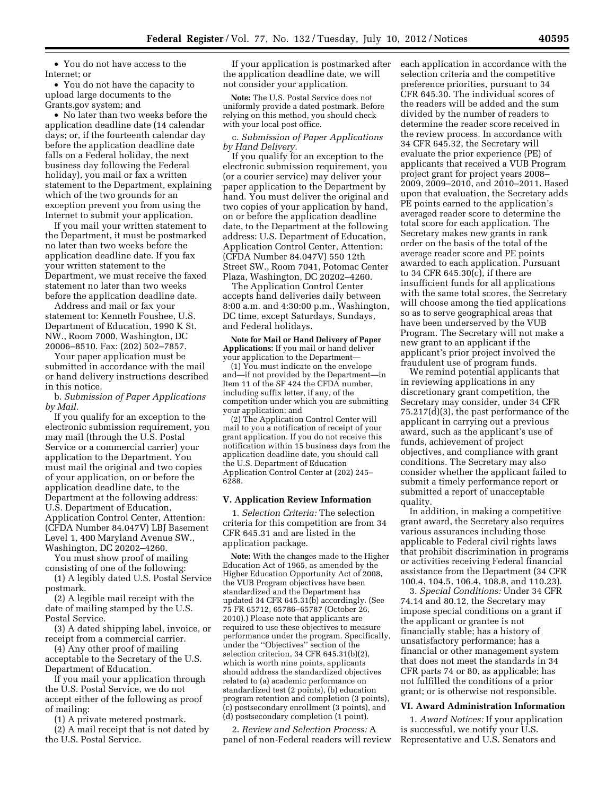• You do not have access to the Internet; or

• You do not have the capacity to upload large documents to the Grants.gov system; and

• No later than two weeks before the application deadline date (14 calendar days; or, if the fourteenth calendar day before the application deadline date falls on a Federal holiday, the next business day following the Federal holiday), you mail or fax a written statement to the Department, explaining which of the two grounds for an exception prevent you from using the Internet to submit your application.

If you mail your written statement to the Department, it must be postmarked no later than two weeks before the application deadline date. If you fax your written statement to the Department, we must receive the faxed statement no later than two weeks before the application deadline date.

Address and mail or fax your statement to: Kenneth Foushee, U.S. Department of Education, 1990 K St. NW., Room 7000, Washington, DC 20006–8510. Fax: (202) 502–7857.

Your paper application must be submitted in accordance with the mail or hand delivery instructions described in this notice.

b. *Submission of Paper Applications by Mail.* 

If you qualify for an exception to the electronic submission requirement, you may mail (through the U.S. Postal Service or a commercial carrier) your application to the Department. You must mail the original and two copies of your application, on or before the application deadline date, to the Department at the following address: U.S. Department of Education, Application Control Center, Attention: (CFDA Number 84.047V) LBJ Basement Level 1, 400 Maryland Avenue SW., Washington, DC 20202–4260.

You must show proof of mailing consisting of one of the following:

(1) A legibly dated U.S. Postal Service postmark.

(2) A legible mail receipt with the date of mailing stamped by the U.S. Postal Service.

(3) A dated shipping label, invoice, or receipt from a commercial carrier.

(4) Any other proof of mailing acceptable to the Secretary of the U.S. Department of Education.

If you mail your application through the U.S. Postal Service, we do not accept either of the following as proof of mailing:

(1) A private metered postmark.

(2) A mail receipt that is not dated by the U.S. Postal Service.

If your application is postmarked after the application deadline date, we will not consider your application.

**Note:** The U.S. Postal Service does not uniformly provide a dated postmark. Before relying on this method, you should check with your local post office.

## c. *Submission of Paper Applications by Hand Delivery.*

If you qualify for an exception to the electronic submission requirement, you (or a courier service) may deliver your paper application to the Department by hand. You must deliver the original and two copies of your application by hand, on or before the application deadline date, to the Department at the following address: U.S. Department of Education, Application Control Center, Attention: (CFDA Number 84.047V) 550 12th Street SW., Room 7041, Potomac Center Plaza, Washington, DC 20202–4260.

The Application Control Center accepts hand deliveries daily between 8:00 a.m. and 4:30:00 p.m., Washington, DC time, except Saturdays, Sundays, and Federal holidays.

**Note for Mail or Hand Delivery of Paper Applications:** If you mail or hand deliver your application to the Department—

(1) You must indicate on the envelope and—if not provided by the Department—in Item 11 of the SF 424 the CFDA number, including suffix letter, if any, of the competition under which you are submitting your application; and

(2) The Application Control Center will mail to you a notification of receipt of your grant application. If you do not receive this notification within 15 business days from the application deadline date, you should call the U.S. Department of Education Application Control Center at (202) 245– 6288.

#### **V. Application Review Information**

1. *Selection Criteria:* The selection criteria for this competition are from 34 CFR 645.31 and are listed in the application package.

**Note:** With the changes made to the Higher Education Act of 1965, as amended by the Higher Education Opportunity Act of 2008, the VUB Program objectives have been standardized and the Department has updated 34 CFR 645.31(b) accordingly. (See 75 FR 65712, 65786–65787 (October 26, 2010).) Please note that applicants are required to use these objectives to measure performance under the program. Specifically, under the ''Objectives'' section of the selection criterion, 34 CFR 645.31(b)(2), which is worth nine points, applicants should address the standardized objectives related to (a) academic performance on standardized test (2 points), (b) education program retention and completion (3 points), (c) postsecondary enrollment (3 points), and (d) postsecondary completion (1 point).

2. *Review and Selection Process:* A panel of non-Federal readers will review each application in accordance with the selection criteria and the competitive preference priorities, pursuant to 34 CFR 645.30. The individual scores of the readers will be added and the sum divided by the number of readers to determine the reader score received in the review process. In accordance with 34 CFR 645.32, the Secretary will evaluate the prior experience (PE) of applicants that received a VUB Program project grant for project years 2008– 2009, 2009–2010, and 2010–2011. Based upon that evaluation, the Secretary adds PE points earned to the application's averaged reader score to determine the total score for each application. The Secretary makes new grants in rank order on the basis of the total of the average reader score and PE points awarded to each application. Pursuant to 34 CFR 645.30(c), if there are insufficient funds for all applications with the same total scores, the Secretary will choose among the tied applications so as to serve geographical areas that have been underserved by the VUB Program. The Secretary will not make a new grant to an applicant if the applicant's prior project involved the fraudulent use of program funds.

We remind potential applicants that in reviewing applications in any discretionary grant competition, the Secretary may consider, under 34 CFR 75.217(d)(3), the past performance of the applicant in carrying out a previous award, such as the applicant's use of funds, achievement of project objectives, and compliance with grant conditions. The Secretary may also consider whether the applicant failed to submit a timely performance report or submitted a report of unacceptable quality.

In addition, in making a competitive grant award, the Secretary also requires various assurances including those applicable to Federal civil rights laws that prohibit discrimination in programs or activities receiving Federal financial assistance from the Department (34 CFR 100.4, 104.5, 106.4, 108.8, and 110.23).

3. *Special Conditions:* Under 34 CFR 74.14 and 80.12, the Secretary may impose special conditions on a grant if the applicant or grantee is not financially stable; has a history of unsatisfactory performance; has a financial or other management system that does not meet the standards in 34 CFR parts 74 or 80, as applicable; has not fulfilled the conditions of a prior grant; or is otherwise not responsible.

# **VI. Award Administration Information**

1. *Award Notices:* If your application is successful, we notify your U.S. Representative and U.S. Senators and